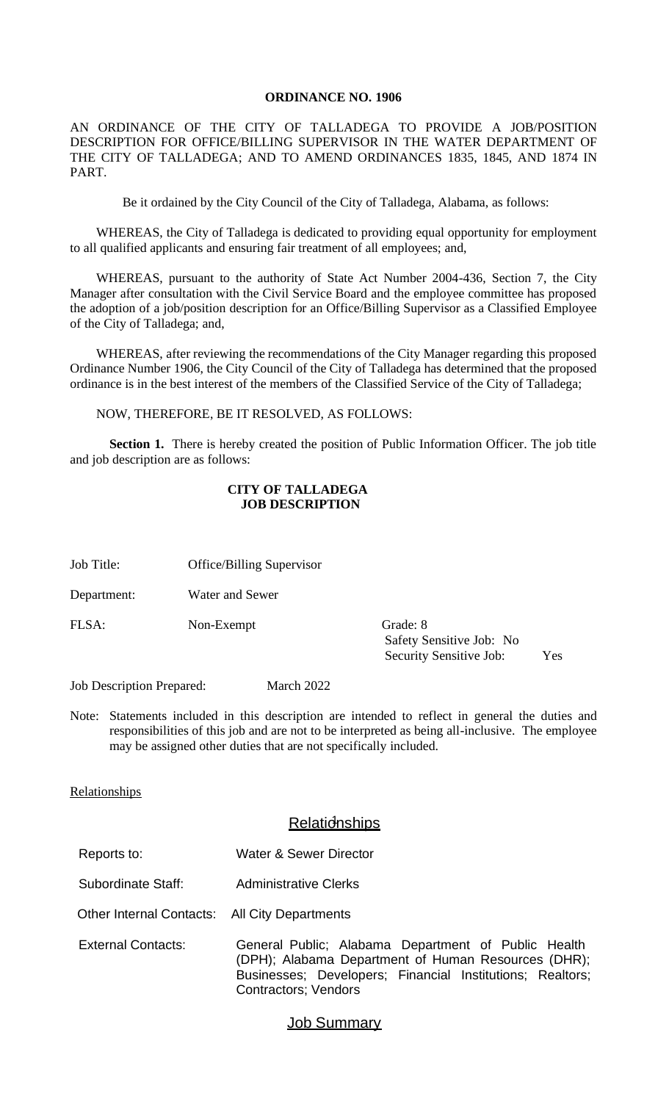#### **ORDINANCE NO. 1906**

AN ORDINANCE OF THE CITY OF TALLADEGA TO PROVIDE A JOB/POSITION DESCRIPTION FOR OFFICE/BILLING SUPERVISOR IN THE WATER DEPARTMENT OF THE CITY OF TALLADEGA; AND TO AMEND ORDINANCES 1835, 1845, AND 1874 IN PART.

Be it ordained by the City Council of the City of Talladega, Alabama, as follows:

WHEREAS, the City of Talladega is dedicated to providing equal opportunity for employment to all qualified applicants and ensuring fair treatment of all employees; and,

WHEREAS, pursuant to the authority of State Act Number 2004-436, Section 7, the City Manager after consultation with the Civil Service Board and the employee committee has proposed the adoption of a job/position description for an Office/Billing Supervisor as a Classified Employee of the City of Talladega; and,

WHEREAS, after reviewing the recommendations of the City Manager regarding this proposed Ordinance Number 1906, the City Council of the City of Talladega has determined that the proposed ordinance is in the best interest of the members of the Classified Service of the City of Talladega;

NOW, THEREFORE, BE IT RESOLVED, AS FOLLOWS:

**Section 1.** There is hereby created the position of Public Information Officer. The job title and job description are as follows:

#### **CITY OF TALLADEGA JOB DESCRIPTION**

- Job Title: Office/Billing Supervisor
- Department: Water and Sewer

FLSA: Non-Exempt Grade: 8

Safety Sensitive Job: No Security Sensitive Job: Yes

Job Description Prepared: March 2022

Note: Statements included in this description are intended to reflect in general the duties and responsibilities of this job and are not to be interpreted as being all-inclusive. The employee may be assigned other duties that are not specifically included.

#### Relationships

### Relationships

- Reports to: Water & Sewer Director
- Subordinate Staff: Administrative Clerks
- Other Internal Contacts: All City Departments
- External Contacts: General Public; Alabama Department of Public Health (DPH); Alabama Department of Human Resources (DHR); Businesses; Developers; Financial Institutions; Realtors; Contractors; Vendors

#### **Job Summary**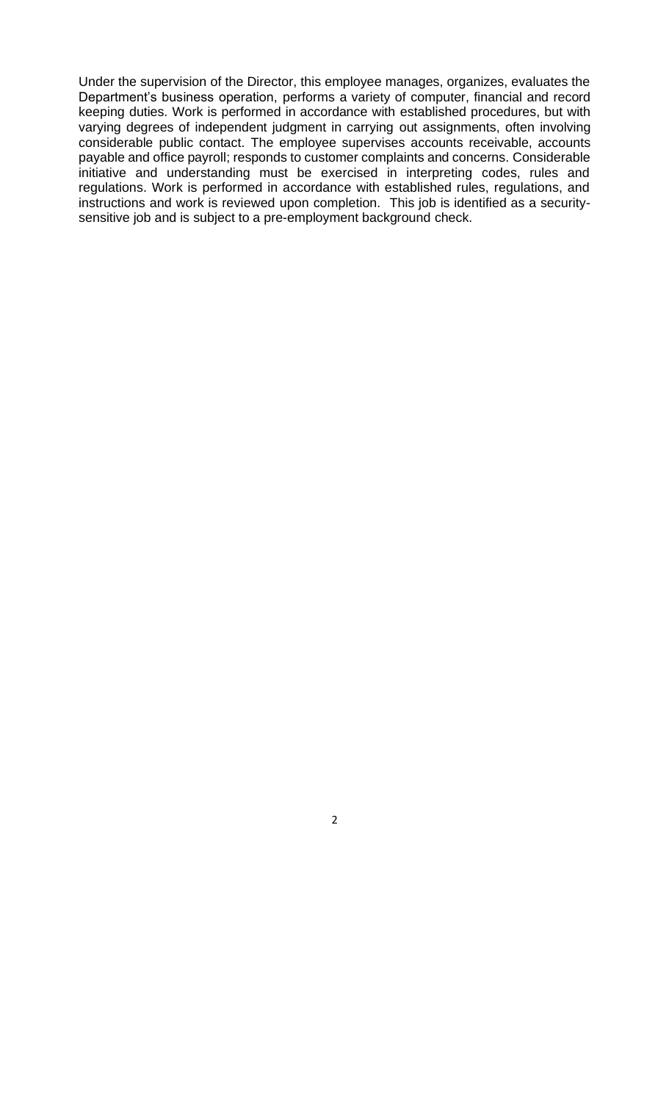Under the supervision of the Director, this employee manages, organizes, evaluates the Department's business operation, performs a variety of computer, financial and record keeping duties. Work is performed in accordance with established procedures, but with varying degrees of independent judgment in carrying out assignments, often involving considerable public contact. The employee supervises accounts receivable, accounts payable and office payroll; responds to customer complaints and concerns. Considerable initiative and understanding must be exercised in interpreting codes, rules and regulations. Work is performed in accordance with established rules, regulations, and instructions and work is reviewed upon completion. This job is identified as a securitysensitive job and is subject to a pre-employment background check.

2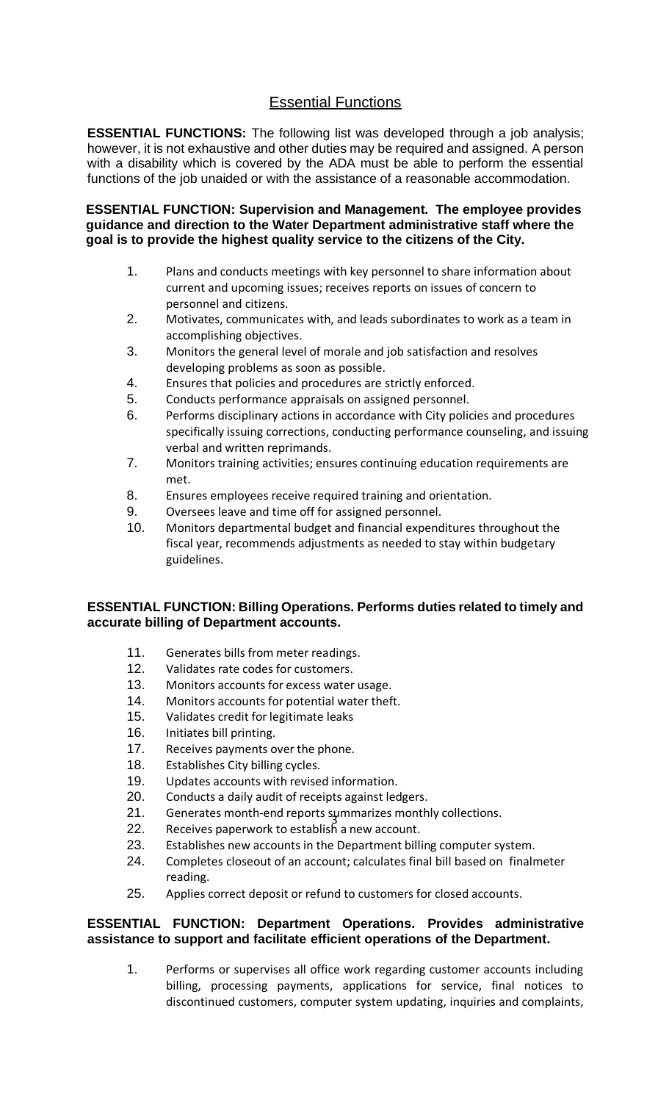# Essential Functions

**ESSENTIAL FUNCTIONS:** The following list was developed through a job analysis; however, it is not exhaustive and other duties may be required and assigned. A person with a disability which is covered by the ADA must be able to perform the essential functions of the job unaided or with the assistance of a reasonable accommodation.

#### **ESSENTIAL FUNCTION: Supervision and Management. The employee provides guidance and direction to the Water Department administrative staff where the goal is to provide the highest quality service to the citizens of the City.**

- 1. Plans and conducts meetings with key personnel to share information about current and upcoming issues; receives reports on issues of concern to personnel and citizens.
- 2. Motivates, communicates with, and leads subordinates to work as a team in accomplishing objectives.
- 3. Monitors the general level of morale and job satisfaction and resolves developing problems as soon as possible.
- 4. Ensures that policies and procedures are strictly enforced.
- 5. Conducts performance appraisals on assigned personnel.
- 6. Performs disciplinary actions in accordance with City policies and procedures specifically issuing corrections, conducting performance counseling, and issuing verbal and written reprimands.
- 7. Monitors training activities; ensures continuing education requirements are met.
- 8. Ensures employees receive required training and orientation.
- 9. Oversees leave and time off for assigned personnel.
- 10. Monitors departmental budget and financial expenditures throughout the fiscal year, recommends adjustments as needed to stay within budgetary guidelines.

#### **ESSENTIAL FUNCTION: Billing Operations. Performs duties related to timely and accurate billing of Department accounts.**

- 11. Generates bills from meter readings.
- 12. Validates rate codes for customers.
- 13. Monitors accounts for excess water usage.
- 14. Monitors accounts for potential water theft.
- 15. Validates credit for legitimate leaks
- 16. Initiates bill printing.
- 17. Receives payments over the phone.
- 18. Establishes City billing cycles.
- 19. Updates accounts with revised information.
- 20. Conducts a daily audit of receipts against ledgers.
- 3 21. Generates month-end reports summarizes monthly collections.
- 22. Receives paperwork to establish a new account.
- 23. Establishes new accounts in the Department billing computer system.
- 24. Completes closeout of an account; calculates final bill based on finalmeter reading.
- 25. Applies correct deposit or refund to customers for closed accounts.

# **ESSENTIAL FUNCTION: Department Operations. Provides administrative assistance to support and facilitate efficient operations of the Department.**

1. Performs or supervises all office work regarding customer accounts including billing, processing payments, applications for service, final notices to discontinued customers, computer system updating, inquiries and complaints,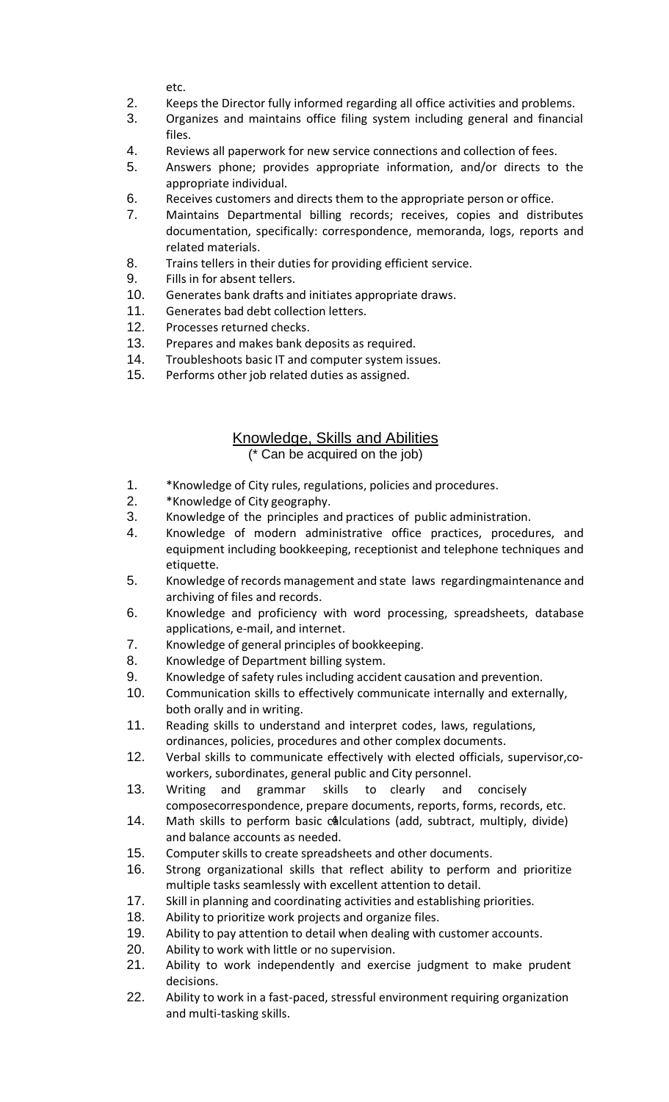etc.

- 2. Keeps the Director fully informed regarding all office activities and problems.
- 3. Organizes and maintains office filing system including general and financial files.
- 4. Reviews all paperwork for new service connections and collection of fees.
- 5. Answers phone; provides appropriate information, and/or directs to the appropriate individual.
- 6. Receives customers and directs them to the appropriate person or office.
- 7. Maintains Departmental billing records; receives, copies and distributes documentation, specifically: correspondence, memoranda, logs, reports and related materials.
- 8. Trains tellers in their duties for providing efficient service.
- 9. Fills in for absent tellers.
- 10. Generates bank drafts and initiates appropriate draws.
- 11. Generates bad debt collection letters.
- 12. Processes returned checks.
- 13. Prepares and makes bank deposits as required.
- 14. Troubleshoots basic IT and computer system issues.
- 15. Performs other job related duties as assigned.

### Knowledge, Skills and Abilities (\* Can be acquired on the job)

- 1. \*Knowledge of City rules, regulations, policies and procedures.
- 2. \*Knowledge of City geography.
- 3. Knowledge of the principles and practices of public administration.
- 4. Knowledge of modern administrative office practices, procedures, and equipment including bookkeeping, receptionist and telephone techniques and etiquette.
- 5. Knowledge of records management and state laws regardingmaintenance and archiving of files and records.
- 6. Knowledge and proficiency with word processing, spreadsheets, database applications, e-mail, and internet.
- 7. Knowledge of general principles of bookkeeping.
- 8. Knowledge of Department billing system.
- 9. Knowledge of safety rules including accident causation and prevention.
- 10. Communication skills to effectively communicate internally and externally, both orally and in writing.
- 11. Reading skills to understand and interpret codes, laws, regulations, ordinances, policies, procedures and other complex documents.
- 12. Verbal skills to communicate effectively with elected officials, supervisor,coworkers, subordinates, general public and City personnel.
- 13. Writing and grammar skills to clearly and concisely composecorrespondence, prepare documents, reports, forms, records, etc.
- 14. Math skills to perform basic calculations (add, subtract, multiply, divide) and balance accounts as needed.
- 15. Computer skills to create spreadsheets and other documents.
- 16. Strong organizational skills that reflect ability to perform and prioritize multiple tasks seamlessly with excellent attention to detail.
- 17. Skill in planning and coordinating activities and establishing priorities.
- 18. Ability to prioritize work projects and organize files.
- 19. Ability to pay attention to detail when dealing with customer accounts.
- 20. Ability to work with little or no supervision.
- 21. Ability to work independently and exercise judgment to make prudent decisions.
- 22. Ability to work in a fast-paced, stressful environment requiring organization and multi-tasking skills.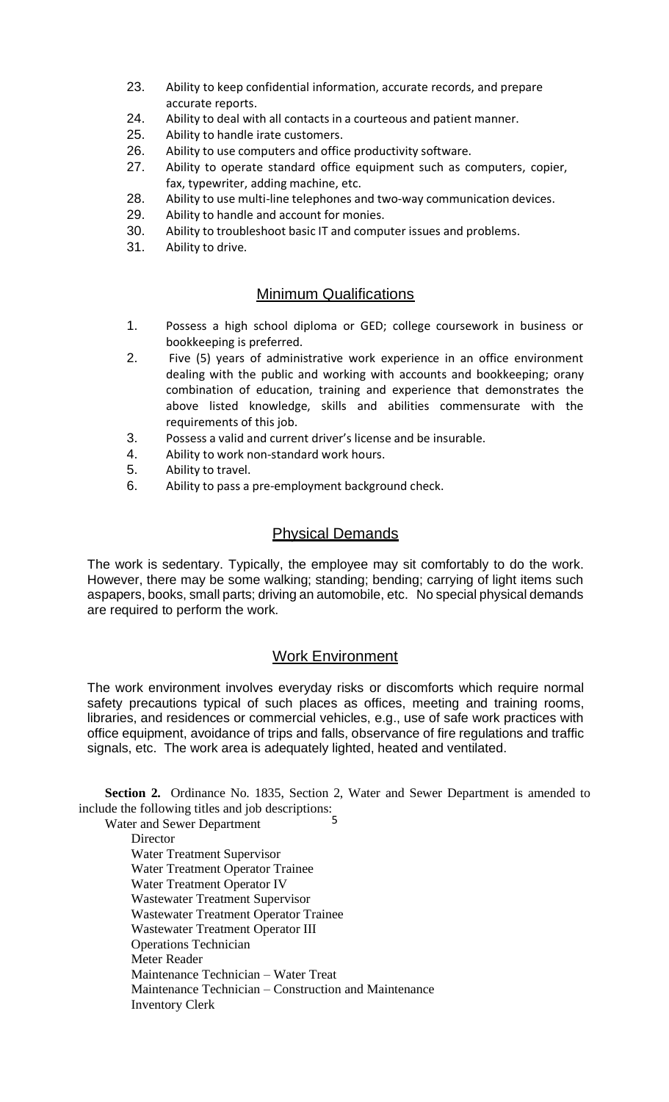- 23. Ability to keep confidential information, accurate records, and prepare accurate reports.
- 24. Ability to deal with all contacts in a courteous and patient manner.
- 25. Ability to handle irate customers.
- 26. Ability to use computers and office productivity software.
- 27. Ability to operate standard office equipment such as computers, copier, fax, typewriter, adding machine, etc.
- 28. Ability to use multi-line telephones and two-way communication devices.
- 29. Ability to handle and account for monies.
- 30. Ability to troubleshoot basic IT and computer issues and problems.
- 31. Ability to drive.

# Minimum Qualifications

- 1. Possess a high school diploma or GED; college coursework in business or bookkeeping is preferred.
- 2. Five (5) years of administrative work experience in an office environment dealing with the public and working with accounts and bookkeeping; orany combination of education, training and experience that demonstrates the above listed knowledge, skills and abilities commensurate with the requirements of this job.
- 3. Possess a valid and current driver's license and be insurable.
- 4. Ability to work non-standard work hours.
- 5. Ability to travel.
- 6. Ability to pass a pre-employment background check.

# Physical Demands

The work is sedentary. Typically, the employee may sit comfortably to do the work. However, there may be some walking; standing; bending; carrying of light items such aspapers, books, small parts; driving an automobile, etc. No special physical demands are required to perform the work.

#### Work Environment

The work environment involves everyday risks or discomforts which require normal safety precautions typical of such places as offices, meeting and training rooms, libraries, and residences or commercial vehicles, e.g., use of safe work practices with office equipment, avoidance of trips and falls, observance of fire regulations and traffic signals, etc. The work area is adequately lighted, heated and ventilated.

**Section 2.** Ordinance No. 1835, Section 2, Water and Sewer Department is amended to include the following titles and job descriptions:

5 Water and Sewer Department **Director** Water Treatment Supervisor Water Treatment Operator Trainee Water Treatment Operator IV Wastewater Treatment Supervisor Wastewater Treatment Operator Trainee Wastewater Treatment Operator III Operations Technician Meter Reader Maintenance Technician – Water Treat Maintenance Technician – Construction and Maintenance Inventory Clerk